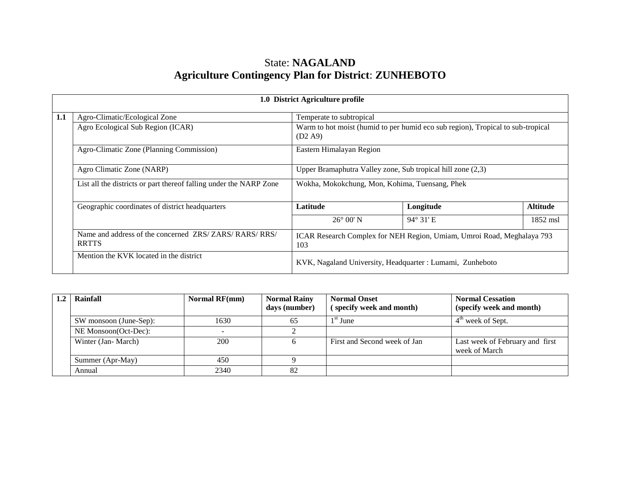# State: **NAGALAND Agriculture Contingency Plan for District**: **ZUNHEBOTO**

|     | 1.0 District Agriculture profile                                     |                                                                                            |                                                                        |                 |  |  |  |  |
|-----|----------------------------------------------------------------------|--------------------------------------------------------------------------------------------|------------------------------------------------------------------------|-----------------|--|--|--|--|
| 1.1 | Agro-Climatic/Ecological Zone                                        | Temperate to subtropical                                                                   |                                                                        |                 |  |  |  |  |
|     | Agro Ecological Sub Region (ICAR)                                    | Warm to hot moist (humid to per humid eco sub region), Tropical to sub-tropical<br>(D2 A9) |                                                                        |                 |  |  |  |  |
|     | Agro-Climatic Zone (Planning Commission)                             | Eastern Himalayan Region                                                                   |                                                                        |                 |  |  |  |  |
|     | Agro Climatic Zone (NARP)                                            | Upper Bramaphutra Valley zone, Sub tropical hill zone (2,3)                                |                                                                        |                 |  |  |  |  |
|     | List all the districts or part thereof falling under the NARP Zone   | Wokha, Mokokchung, Mon, Kohima, Tuensang, Phek                                             |                                                                        |                 |  |  |  |  |
|     | Geographic coordinates of district headquarters                      | Latitude                                                                                   | Longitude                                                              | <b>Altitude</b> |  |  |  |  |
|     |                                                                      | $26^{\circ}$ 00' N                                                                         | $94^{\circ}$ 31' E                                                     | 1852 msl        |  |  |  |  |
|     | Name and address of the concerned ZRS/ZARS/RARS/RRS/<br><b>RRTTS</b> | 103                                                                                        | ICAR Research Complex for NEH Region, Umiam, Umroi Road, Meghalaya 793 |                 |  |  |  |  |
|     | Mention the KVK located in the district                              | KVK, Nagaland University, Headquarter : Lumami, Zunheboto                                  |                                                                        |                 |  |  |  |  |

| Rainfall               | <b>Normal RF(mm)</b> | <b>Normal Rainy</b><br>days (number) | <b>Normal Onset</b><br>(specify week and month) | <b>Normal Cessation</b><br>(specify week and month) |
|------------------------|----------------------|--------------------------------------|-------------------------------------------------|-----------------------------------------------------|
| SW monsoon (June-Sep): | 1630                 | 65                                   | $1st$ June                                      | $4^{\text{m}}$ week of Sept.                        |
| NE Monsoon(Oct-Dec):   |                      |                                      |                                                 |                                                     |
| Winter (Jan-March)     | 200                  |                                      | First and Second week of Jan                    | Last week of February and first<br>week of March    |
| Summer (Apr-May)       | 450                  |                                      |                                                 |                                                     |
| Annual                 | 2340                 | 82                                   |                                                 |                                                     |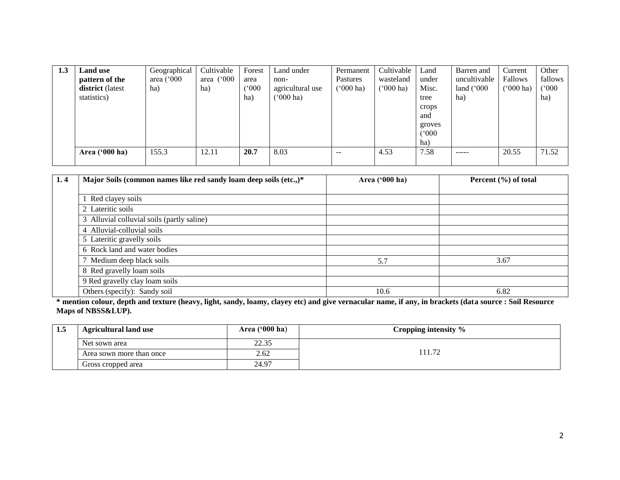| 1.3 | Land use<br>pattern of the<br>district (latest<br>statistics) | Geographical<br>area $(^{\circ}000$<br>ha) | Cultivable<br>area $(^{\circ}000$<br>ha) | Forest<br>area<br>(000)<br>ha) | Land under<br>non-<br>agricultural use<br>$^{\circ}000$ ha) | Permanent<br>Pastures<br>$(500 \text{ ha})$ | Cultivable<br>wasteland<br>('000 ha) | Land<br>under<br>Misc.<br>tree<br>crops<br>and<br>groves<br>(°000)<br>ha) | Barren and<br>uncultivable<br>land $(^{\circ}000$<br>ha) | Current<br><b>Fallows</b><br>$(000 \text{ ha})$ | Other<br>fallows<br>(°000)<br>ha) |
|-----|---------------------------------------------------------------|--------------------------------------------|------------------------------------------|--------------------------------|-------------------------------------------------------------|---------------------------------------------|--------------------------------------|---------------------------------------------------------------------------|----------------------------------------------------------|-------------------------------------------------|-----------------------------------|
|     | Area $('000 ha)$                                              | 155.3                                      | 12.11                                    | 20.7                           | 8.03                                                        | $- -$                                       | 4.53                                 | 7.58                                                                      | -----                                                    | 20.55                                           | 71.52                             |

| 1.4 | Major Soils (common names like red sandy loam deep soils (etc.,)* | Area ('000 ha) | Percent (%) of total |
|-----|-------------------------------------------------------------------|----------------|----------------------|
|     |                                                                   |                |                      |
|     | Red clayey soils                                                  |                |                      |
|     | 2 Lateritic soils                                                 |                |                      |
|     | 3 Alluvial colluvial soils (partly saline)                        |                |                      |
|     | 4 Alluvial-colluvial soils                                        |                |                      |
|     | 5 Lateritic gravelly soils                                        |                |                      |
|     | 6 Rock land and water bodies                                      |                |                      |
|     | 7 Medium deep black soils                                         | 5.7            | 3.67                 |
|     | 8 Red gravelly loam soils                                         |                |                      |
|     | 9 Red gravelly clay loam soils                                    |                |                      |
|     | Others (specify): Sandy soil                                      | 10.6           | 6.82                 |

**\* mention colour, depth and texture (heavy, light, sandy, loamy, clayey etc) and give vernacular name, if any, in brackets (data source : Soil Resource Maps of NBSS&LUP).**

| 1.5 | <b>Agricultural land use</b> | Area $(900 \text{ ha})$ | Cropping intensity % |
|-----|------------------------------|-------------------------|----------------------|
|     | Net sown area                | 22.35                   |                      |
|     | Area sown more than once     | 2.62                    | 11.72                |
|     | Gross cropped area           | 24.97                   |                      |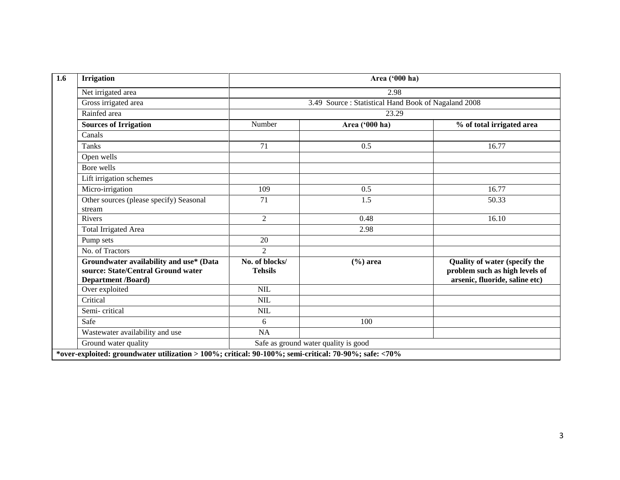| <b>Irrigation</b>                                                                                          | Area ('000 ha)                       |                                                     |                                                                                                   |  |  |  |  |
|------------------------------------------------------------------------------------------------------------|--------------------------------------|-----------------------------------------------------|---------------------------------------------------------------------------------------------------|--|--|--|--|
| Net irrigated area                                                                                         |                                      | 2.98                                                |                                                                                                   |  |  |  |  |
| Gross irrigated area                                                                                       |                                      | 3.49 Source: Statistical Hand Book of Nagaland 2008 |                                                                                                   |  |  |  |  |
| Rainfed area                                                                                               | 23.29                                |                                                     |                                                                                                   |  |  |  |  |
| <b>Sources of Irrigation</b>                                                                               | Number                               | Area ('000 ha)                                      | % of total irrigated area                                                                         |  |  |  |  |
| Canals                                                                                                     |                                      |                                                     |                                                                                                   |  |  |  |  |
| Tanks                                                                                                      | 71                                   | 0.5                                                 | 16.77                                                                                             |  |  |  |  |
| Open wells                                                                                                 |                                      |                                                     |                                                                                                   |  |  |  |  |
| Bore wells                                                                                                 |                                      |                                                     |                                                                                                   |  |  |  |  |
| Lift irrigation schemes                                                                                    |                                      |                                                     |                                                                                                   |  |  |  |  |
| Micro-irrigation                                                                                           | 109                                  | 0.5                                                 | 16.77                                                                                             |  |  |  |  |
| Other sources (please specify) Seasonal<br>stream                                                          | 71                                   | 1.5                                                 | 50.33                                                                                             |  |  |  |  |
| <b>Rivers</b>                                                                                              | $\overline{2}$                       | 0.48                                                | 16.10                                                                                             |  |  |  |  |
| <b>Total Irrigated Area</b>                                                                                |                                      | 2.98                                                |                                                                                                   |  |  |  |  |
| Pump sets                                                                                                  | 20                                   |                                                     |                                                                                                   |  |  |  |  |
| No. of Tractors                                                                                            | $\mathfrak{D}$                       |                                                     |                                                                                                   |  |  |  |  |
| Groundwater availability and use* (Data<br>source: State/Central Ground water<br><b>Department /Board)</b> | No. of blocks/<br><b>Tehsils</b>     | $(\% )$ area                                        | Quality of water (specify the<br>problem such as high levels of<br>arsenic, fluoride, saline etc) |  |  |  |  |
| Over exploited                                                                                             | NIL                                  |                                                     |                                                                                                   |  |  |  |  |
| Critical                                                                                                   | <b>NIL</b>                           |                                                     |                                                                                                   |  |  |  |  |
| Semi-critical                                                                                              | <b>NIL</b>                           |                                                     |                                                                                                   |  |  |  |  |
| Safe                                                                                                       | 6                                    | 100                                                 |                                                                                                   |  |  |  |  |
| Wastewater availability and use                                                                            | NA                                   |                                                     |                                                                                                   |  |  |  |  |
| Ground water quality                                                                                       | Safe as ground water quality is good |                                                     |                                                                                                   |  |  |  |  |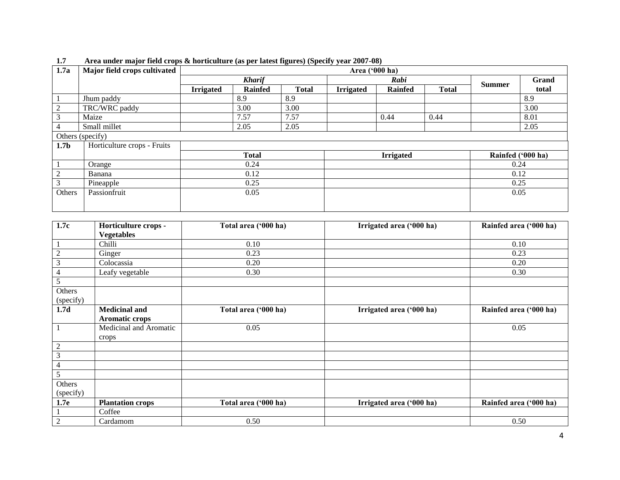| 1.7a             | Major field crops cultivated |                  | Area ('000 ha) |              |                  |                |              |                   |       |
|------------------|------------------------------|------------------|----------------|--------------|------------------|----------------|--------------|-------------------|-------|
|                  |                              | <b>Kharif</b>    |                | Rabi         |                  |                |              | Grand             |       |
|                  |                              | <b>Irrigated</b> | <b>Rainfed</b> | <b>Total</b> | <b>Irrigated</b> | <b>Rainfed</b> | <b>Total</b> | <b>Summer</b>     | total |
|                  | Jhum paddy                   |                  | 8.9            | 8.9          |                  |                |              |                   | 8.9   |
| 2                | TRC/WRC paddy                |                  | 3.00           | 3.00         |                  |                |              |                   | 3.00  |
| 3                | Maize                        |                  | 7.57           | 7.57         |                  | 0.44           | 0.44         |                   | 8.01  |
| 4                | Small millet                 |                  | 2.05           | 2.05         |                  |                |              |                   | 2.05  |
|                  | Others (specify)             |                  |                |              |                  |                |              |                   |       |
| 1.7 <sub>b</sub> | Horticulture crops - Fruits  |                  |                |              |                  |                |              |                   |       |
|                  |                              |                  | <b>Total</b>   |              | <b>Irrigated</b> |                |              | Rainfed ('000 ha) |       |
|                  | Orange                       |                  | 0.24           |              |                  |                |              | 0.24              |       |
| 2                | Banana                       |                  | 0.12           |              |                  |                |              | 0.12              |       |
| 3                | Pineapple                    | 0.25             |                |              |                  |                | 0.25         |                   |       |
| Others           | Passionfruit                 | 0.05             |                |              |                  |                |              | 0.05              |       |
|                  |                              |                  |                |              |                  |                |              |                   |       |
|                  |                              |                  |                |              |                  |                |              |                   |       |

**1.7 Area under major field crops & horticulture (as per latest figures) (Specify year 2007-08)** 

| 1.7c             | Horticulture crops -    | Total area ('000 ha) | Irrigated area ('000 ha) | Rainfed area ('000 ha) |
|------------------|-------------------------|----------------------|--------------------------|------------------------|
|                  | <b>Vegetables</b>       |                      |                          |                        |
| $\mathbf{1}$     | Chilli                  | 0.10                 |                          | 0.10                   |
| $\boldsymbol{2}$ | Ginger                  | 0.23                 |                          | 0.23                   |
| 3                | Colocassia              | 0.20                 |                          | 0.20                   |
| $\overline{4}$   | Leafy vegetable         | 0.30                 |                          | 0.30                   |
| 5                |                         |                      |                          |                        |
| Others           |                         |                      |                          |                        |
| (specify)        |                         |                      |                          |                        |
| 1.7d             | <b>Medicinal and</b>    | Total area ('000 ha) | Irrigated area ('000 ha) | Rainfed area ('000 ha) |
|                  | <b>Aromatic crops</b>   |                      |                          |                        |
|                  | Medicinal and Aromatic  | 0.05                 |                          | 0.05                   |
|                  | crops                   |                      |                          |                        |
| $\boldsymbol{2}$ |                         |                      |                          |                        |
| $\mathfrak{Z}$   |                         |                      |                          |                        |
| $\overline{4}$   |                         |                      |                          |                        |
| 5                |                         |                      |                          |                        |
| Others           |                         |                      |                          |                        |
| (specify)        |                         |                      |                          |                        |
| 1.7 <sub>e</sub> | <b>Plantation crops</b> | Total area ('000 ha) | Irrigated area ('000 ha) | Rainfed area ('000 ha) |
|                  | Coffee                  |                      |                          |                        |
| $\overline{2}$   | Cardamom                | 0.50                 |                          | 0.50                   |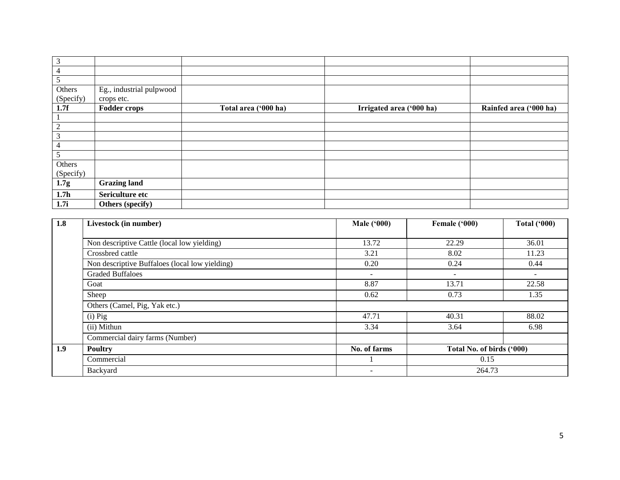| 3                |                          |                      |                          |                        |
|------------------|--------------------------|----------------------|--------------------------|------------------------|
| 4                |                          |                      |                          |                        |
| 5                |                          |                      |                          |                        |
| Others           | Eg., industrial pulpwood |                      |                          |                        |
| (Specify)        | crops etc.               |                      |                          |                        |
| 1.7f             | <b>Fodder crops</b>      | Total area ('000 ha) | Irrigated area ('000 ha) | Rainfed area ('000 ha) |
|                  |                          |                      |                          |                        |
| $\overline{2}$   |                          |                      |                          |                        |
| 3                |                          |                      |                          |                        |
| $\overline{4}$   |                          |                      |                          |                        |
| 5                |                          |                      |                          |                        |
| Others           |                          |                      |                          |                        |
| (Specify)        |                          |                      |                          |                        |
| 1.7g             | <b>Grazing land</b>      |                      |                          |                        |
| 1.7 <sub>h</sub> | Sericulture etc          |                      |                          |                        |
| 1.7i             | Others (specify)         |                      |                          |                        |

| 1.8 | Livestock (in number)                          | <b>Male ('000)</b>       | Female ('000)             | <b>Total ('000)</b>      |  |
|-----|------------------------------------------------|--------------------------|---------------------------|--------------------------|--|
|     |                                                |                          |                           |                          |  |
|     | Non descriptive Cattle (local low yielding)    | 13.72                    | 22.29                     | 36.01                    |  |
|     | Crossbred cattle                               | 3.21                     | 8.02                      | 11.23                    |  |
|     | Non descriptive Buffaloes (local low yielding) | 0.20                     | 0.24                      | 0.44                     |  |
|     | <b>Graded Buffaloes</b>                        | $\sim$                   | $\overline{\phantom{a}}$  | $\overline{\phantom{a}}$ |  |
|     | Goat                                           | 8.87                     | 13.71                     | 22.58                    |  |
|     | Sheep                                          | 0.73<br>0.62             |                           | 1.35                     |  |
|     | Others (Camel, Pig, Yak etc.)                  |                          |                           |                          |  |
|     | $(i)$ Pig                                      | 47.71                    | 40.31                     | 88.02                    |  |
|     | (ii) Mithun                                    | 3.34                     | 3.64                      | 6.98                     |  |
|     | Commercial dairy farms (Number)                |                          |                           |                          |  |
| 1.9 | <b>Poultry</b>                                 | No. of farms             | Total No. of birds ('000) |                          |  |
|     | Commercial                                     |                          | 0.15                      |                          |  |
|     | Backyard                                       | $\overline{\phantom{a}}$ | 264.73                    |                          |  |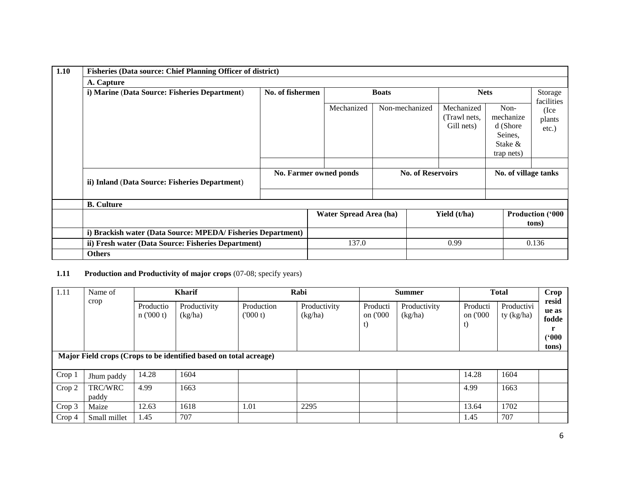| 1.10 | <b>Fisheries (Data source: Chief Planning Officer of district)</b>                                                 |                        |              |                          |                |  |                                          |                                                                      |                                  |  |
|------|--------------------------------------------------------------------------------------------------------------------|------------------------|--------------|--------------------------|----------------|--|------------------------------------------|----------------------------------------------------------------------|----------------------------------|--|
|      | A. Capture                                                                                                         |                        |              |                          |                |  |                                          |                                                                      |                                  |  |
|      | i) Marine (Data Source: Fisheries Department)                                                                      | No. of fishermen       | <b>Boats</b> |                          | <b>Nets</b>    |  | Storage<br>facilities                    |                                                                      |                                  |  |
|      |                                                                                                                    |                        |              | Mechanized               | Non-mechanized |  | Mechanized<br>(Trawl nets,<br>Gill nets) | Non-<br>mechanize<br>d (Shore<br>Seines,<br>Stake $\&$<br>trap nets) | (Ice<br>plants<br>$etc.$ )       |  |
|      |                                                                                                                    |                        |              |                          |                |  |                                          |                                                                      |                                  |  |
|      | ii) Inland (Data Source: Fisheries Department)                                                                     | No. Farmer owned ponds |              | <b>No. of Reservoirs</b> |                |  | No. of village tanks                     |                                                                      |                                  |  |
|      |                                                                                                                    |                        |              |                          |                |  |                                          |                                                                      |                                  |  |
|      | <b>B.</b> Culture                                                                                                  |                        |              |                          |                |  |                                          |                                                                      |                                  |  |
|      |                                                                                                                    |                        |              | Water Spread Area (ha)   |                |  | Yield (t/ha)                             |                                                                      | <b>Production ('000</b><br>tons) |  |
|      | i) Brackish water (Data Source: MPEDA/Fisheries Department)<br>ii) Fresh water (Data Source: Fisheries Department) |                        |              |                          |                |  |                                          |                                                                      |                                  |  |
|      |                                                                                                                    |                        | 137.0        |                          | 0.99           |  |                                          | 0.136                                                                |                                  |  |
|      | <b>Others</b>                                                                                                      |                        |              |                          |                |  |                                          |                                                                      |                                  |  |

## **1.11 Production and Productivity of major crops** (07-08; specify years)

| 1.11                                                              | Name of          | <b>Kharif</b>         |                         |                       | Rabi                    |                            | <b>Summer</b>           | <b>Total</b>               | Crop                     |                                           |
|-------------------------------------------------------------------|------------------|-----------------------|-------------------------|-----------------------|-------------------------|----------------------------|-------------------------|----------------------------|--------------------------|-------------------------------------------|
|                                                                   | crop             | Productio<br>n(000 t) | Productivity<br>(kg/ha) | Production<br>(000 t) | Productivity<br>(kg/ha) | Producti<br>on ('000<br>t) | Productivity<br>(kg/ha) | Producti<br>on ('000<br>t) | Productivi<br>ty (kg/ha) | resid<br>ue as<br>fodde<br>(500)<br>tons) |
| Major Field crops (Crops to be identified based on total acreage) |                  |                       |                         |                       |                         |                            |                         |                            |                          |                                           |
| Crop 1                                                            | Jhum paddy       | 14.28                 | 1604                    |                       |                         |                            |                         | 14.28                      | 1604                     |                                           |
| Crop 2                                                            | TRC/WRC<br>paddy | 4.99                  | 1663                    |                       |                         |                            |                         | 4.99                       | 1663                     |                                           |
| Crop 3                                                            | Maize            | 12.63                 | 1618                    | 1.01                  | 2295                    |                            |                         | 13.64                      | 1702                     |                                           |
| Crop 4                                                            | Small millet     | 1.45                  | 707                     |                       |                         |                            |                         | 1.45                       | 707                      |                                           |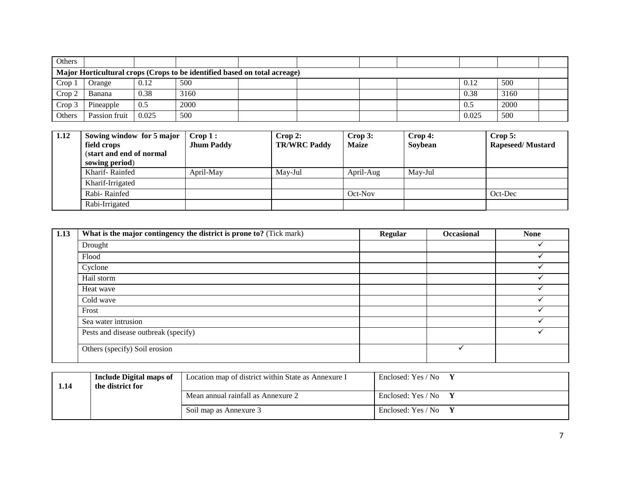| Others |                                                                           |       |      |  |  |  |  |       |      |  |
|--------|---------------------------------------------------------------------------|-------|------|--|--|--|--|-------|------|--|
|        | Major Horticultural crops (Crops to be identified based on total acreage) |       |      |  |  |  |  |       |      |  |
| Crop 1 | Orange                                                                    | 0.12  | 500  |  |  |  |  | 0.12  | 500  |  |
| Crop 2 | Banana                                                                    | 0.38  | 3160 |  |  |  |  | 0.38  | 3160 |  |
| Crop 3 | Pineapple                                                                 | 0.5   | 2000 |  |  |  |  | 0.5   | 2000 |  |
| Others | Passion fruit                                                             | 0.025 | 500  |  |  |  |  | 0.025 | 500  |  |

| $\vert$ 1.12 | Sowing window for 5 major<br>field crops<br>(start and end of normal<br>sowing period) | $\mathbf{Crop}\,1$ :<br><b>Jhum Paddy</b> | $\bf{Crop 2:}$<br><b>TR/WRC Paddy</b> | Crop 3:<br><b>Maize</b> | $\bf{Crop 4:}$<br>Soybean | Crop 5:<br><b>Rapeseed/Mustard</b> |
|--------------|----------------------------------------------------------------------------------------|-------------------------------------------|---------------------------------------|-------------------------|---------------------------|------------------------------------|
|              | Kharif-Rainfed                                                                         | April-May                                 | May-Jul                               | April-Aug               | May-Jul                   |                                    |
|              | Kharif-Irrigated                                                                       |                                           |                                       |                         |                           |                                    |
|              | Rabi-Rainfed                                                                           |                                           |                                       | Oct-Nov                 |                           | Oct-Dec                            |
|              | Rabi-Irrigated                                                                         |                                           |                                       |                         |                           |                                    |

| 1.13 | What is the major contingency the district is prone to? (Tick mark) | <b>Regular</b> | <b>Occasional</b> | <b>None</b> |
|------|---------------------------------------------------------------------|----------------|-------------------|-------------|
|      | Drought                                                             |                |                   |             |
|      | Flood                                                               |                |                   |             |
|      | Cyclone                                                             |                |                   |             |
|      | Hail storm                                                          |                |                   |             |
|      | Heat wave                                                           |                |                   |             |
|      | Cold wave                                                           |                |                   |             |
|      | Frost                                                               |                |                   |             |
|      | Sea water intrusion                                                 |                |                   |             |
|      | Pests and disease outbreak (specify)                                |                |                   |             |
|      | Others (specify) Soil erosion                                       |                |                   |             |

| 1.14 | <b>Include Digital maps of</b><br>the district for | Location map of district within State as Annexure I | Enclosed: Yes / No        |
|------|----------------------------------------------------|-----------------------------------------------------|---------------------------|
|      |                                                    | Mean annual rainfall as Annexure 2                  | Enclosed: Yes / No $Y$    |
|      |                                                    | Soil map as Annexure 3                              | Enclosed: Yes / No $\,$ Y |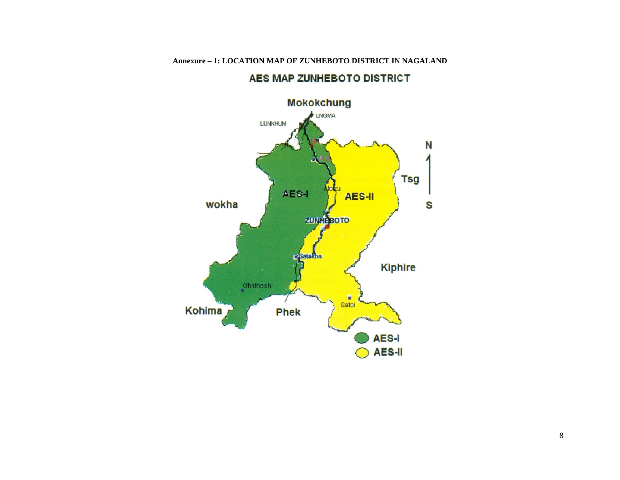

# AES MAP ZUNHEBOTO DISTRICT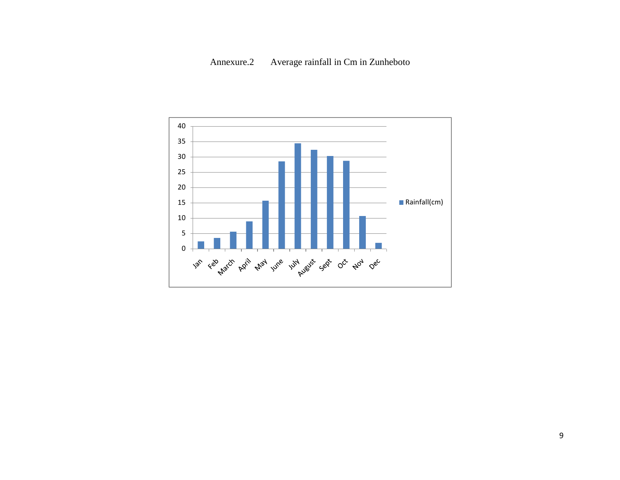# Annexure.2 Average rainfall in Cm in Zunheboto

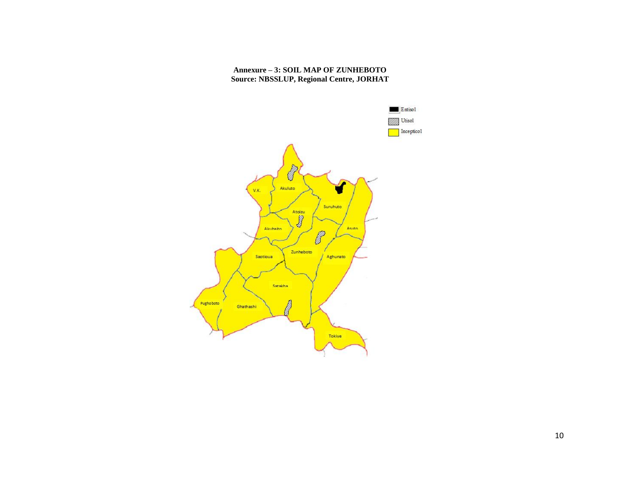### **Annexure – 3: SOIL MAP OF ZUNHEBOTO Source: NBSSLUP, Regional Centre, JORHAT**

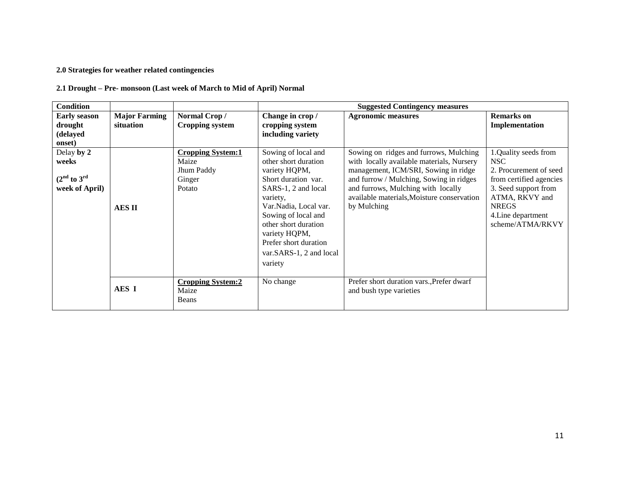## **2.0 Strategies for weather related contingencies**

## **2.1 Drought – Pre- monsoon (Last week of March to Mid of April) Normal**

| <b>Condition</b>    |                      |                          |                         | <b>Suggested Contingency measures</b>      |                         |
|---------------------|----------------------|--------------------------|-------------------------|--------------------------------------------|-------------------------|
| <b>Early season</b> | <b>Major Farming</b> | Normal Crop/             | Change in crop /        | <b>Agronomic measures</b>                  | <b>Remarks</b> on       |
| drought             | situation            | <b>Cropping system</b>   | cropping system         |                                            | Implementation          |
| (delayed            |                      |                          | including variety       |                                            |                         |
| onset)              |                      |                          |                         |                                            |                         |
| Delay by 2          |                      | <b>Cropping System:1</b> | Sowing of local and     | Sowing on ridges and furrows, Mulching     | 1.Quality seeds from    |
| weeks               |                      | Maize                    | other short duration    | with locally available materials, Nursery  | NSC.                    |
|                     |                      | Jhum Paddy               | variety HQPM,           | management, ICM/SRI, Sowing in ridge       | 2. Procurement of seed  |
| $(2nd$ to $3rd$     |                      | Ginger                   | Short duration var.     | and furrow / Mulching, Sowing in ridges    | from certified agencies |
| week of April)      |                      | Potato                   | SARS-1, 2 and local     | and furrows, Mulching with locally         | 3. Seed support from    |
|                     |                      |                          | variety,                | available materials, Moisture conservation | ATMA, RKVY and          |
|                     | <b>AESII</b>         |                          | Var. Nadia, Local var.  | by Mulching                                | <b>NREGS</b>            |
|                     |                      |                          | Sowing of local and     |                                            | 4. Line department      |
|                     |                      |                          | other short duration    |                                            | scheme/ATMA/RKVY        |
|                     |                      |                          | variety HQPM,           |                                            |                         |
|                     |                      |                          | Prefer short duration   |                                            |                         |
|                     |                      |                          | var.SARS-1, 2 and local |                                            |                         |
|                     |                      |                          | variety                 |                                            |                         |
|                     |                      |                          |                         |                                            |                         |
|                     |                      | <b>Cropping System:2</b> | No change               | Prefer short duration vars., Prefer dwarf  |                         |
|                     | AES I                | Maize                    |                         | and bush type varieties                    |                         |
|                     |                      | Beans                    |                         |                                            |                         |
|                     |                      |                          |                         |                                            |                         |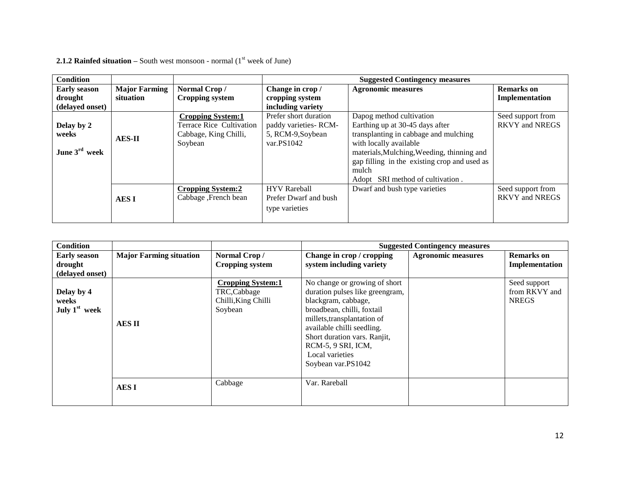| <b>Condition</b>          |                      |                          |                       | <b>Suggested Contingency measures</b>        |                       |
|---------------------------|----------------------|--------------------------|-----------------------|----------------------------------------------|-----------------------|
| <b>Early season</b>       | <b>Major Farming</b> | Normal Crop/             | Change in crop /      | <b>Agronomic measures</b>                    | <b>Remarks</b> on     |
| drought                   | situation            | Cropping system          | cropping system       |                                              | Implementation        |
| (delayed onset)           |                      |                          | including variety     |                                              |                       |
|                           |                      | <b>Cropping System:1</b> | Prefer short duration | Dapog method cultivation                     | Seed support from     |
| Delay by 2                |                      | Terrace Rice Cultivation | paddy varieties-RCM-  | Earthing up at 30-45 days after              | <b>RKVY and NREGS</b> |
| weeks                     | <b>AES-II</b>        | Cabbage, King Chilli,    | 5, RCM-9, Soybean     | transplanting in cabbage and mulching        |                       |
|                           |                      | Soybean                  | var. $PS1042$         | with locally available                       |                       |
| June $3^{\text{rd}}$ week |                      |                          |                       | materials, Mulching, Weeding, thinning and   |                       |
|                           |                      |                          |                       | gap filling in the existing crop and used as |                       |
|                           |                      |                          |                       | mulch                                        |                       |
|                           |                      |                          |                       | Adopt SRI method of cultivation.             |                       |
|                           |                      | <b>Cropping System:2</b> | <b>HYV</b> Rareball   | Dwarf and bush type varieties                | Seed support from     |
|                           | <b>AESI</b>          | Cabbage, French bean     | Prefer Dwarf and bush |                                              | <b>RKVY and NREGS</b> |
|                           |                      |                          | type varieties        |                                              |                       |
|                           |                      |                          |                       |                                              |                       |

**2.1.2 Rainfed situation** – South west monsoon - normal  $(1<sup>st</sup>$  week of June)

| Condition                                        |                                |                                                                           | <b>Suggested Contingency measures</b>                                                                                                                                                                                                                                             |                           |                                               |
|--------------------------------------------------|--------------------------------|---------------------------------------------------------------------------|-----------------------------------------------------------------------------------------------------------------------------------------------------------------------------------------------------------------------------------------------------------------------------------|---------------------------|-----------------------------------------------|
| <b>Early season</b>                              | <b>Major Farming situation</b> | Normal Crop/                                                              | Change in crop / cropping                                                                                                                                                                                                                                                         | <b>Agronomic measures</b> | <b>Remarks</b> on                             |
| drought<br>(delayed onset)                       |                                | <b>Cropping system</b>                                                    | system including variety                                                                                                                                                                                                                                                          |                           | Implementation                                |
| Delay by 4<br>weeks<br>July 1 <sup>st</sup> week | <b>AESII</b>                   | <b>Cropping System:1</b><br>TRC,Cabbage<br>Chilli, King Chilli<br>Soybean | No change or growing of short<br>duration pulses like greengram,<br>blackgram, cabbage,<br>broadbean, chilli, foxtail<br>millets, transplantation of<br>available chilli seedling.<br>Short duration vars. Ranjit,<br>RCM-5, 9 SRI, ICM,<br>Local varieties<br>Soybean var.PS1042 |                           | Seed support<br>from RKVY and<br><b>NREGS</b> |
|                                                  | <b>AESI</b>                    | Cabbage                                                                   | Var. Rareball                                                                                                                                                                                                                                                                     |                           |                                               |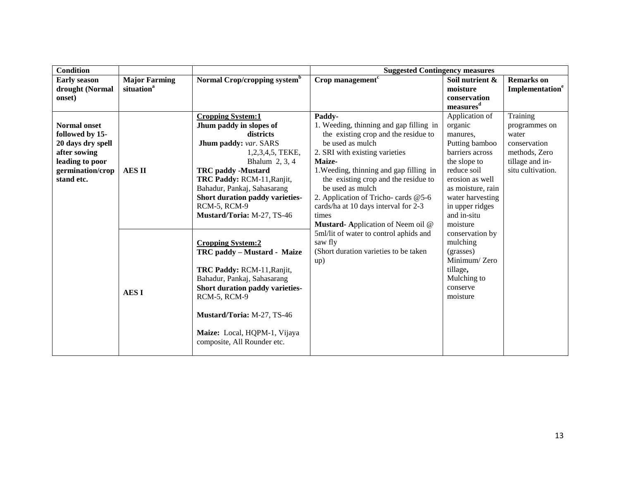| <b>Condition</b>               |                        |                                                                                                                                                                                                                                                                      | <b>Suggested Contingency measures</b>                                                                                                                                                                                             |                                                                                                                       |                             |
|--------------------------------|------------------------|----------------------------------------------------------------------------------------------------------------------------------------------------------------------------------------------------------------------------------------------------------------------|-----------------------------------------------------------------------------------------------------------------------------------------------------------------------------------------------------------------------------------|-----------------------------------------------------------------------------------------------------------------------|-----------------------------|
| <b>Early season</b>            | <b>Major Farming</b>   | Normal Crop/cropping system <sup>b</sup>                                                                                                                                                                                                                             | Crop management $\overline{f}$                                                                                                                                                                                                    | Soil nutrient &                                                                                                       | <b>Remarks</b> on           |
| drought (Normal                | situation <sup>a</sup> |                                                                                                                                                                                                                                                                      |                                                                                                                                                                                                                                   | moisture                                                                                                              | Implementation <sup>e</sup> |
| onset)                         |                        |                                                                                                                                                                                                                                                                      |                                                                                                                                                                                                                                   | conservation<br>measures <sup>d</sup>                                                                                 |                             |
| <b>Normal onset</b>            |                        | <b>Cropping System:1</b><br>Jhum paddy in slopes of                                                                                                                                                                                                                  | Paddy-<br>1. Weeding, thinning and gap filling in                                                                                                                                                                                 | Application of<br>organic                                                                                             | Training<br>programmes on   |
| followed by 15-                |                        | districts                                                                                                                                                                                                                                                            | the existing crop and the residue to                                                                                                                                                                                              | manures,                                                                                                              | water                       |
| 20 days dry spell              |                        | Jhum paddy: var. SARS                                                                                                                                                                                                                                                | be used as mulch                                                                                                                                                                                                                  | Putting bamboo                                                                                                        | conservation                |
| after sowing                   |                        | 1,2,3,4,5, TEKE,                                                                                                                                                                                                                                                     | 2. SRI with existing varieties                                                                                                                                                                                                    | barriers across                                                                                                       | methods, Zero               |
| leading to poor                |                        | Bhalum 2, 3, 4                                                                                                                                                                                                                                                       | Maize-                                                                                                                                                                                                                            | the slope to                                                                                                          | tillage and in-             |
| germination/crop<br>stand etc. | <b>AESII</b>           | <b>TRC</b> paddy -Mustard<br>TRC Paddy: RCM-11, Ranjit,<br>Bahadur, Pankaj, Sahasarang<br>Short duration paddy varieties-<br>RCM-5, RCM-9<br>Mustard/Toria: M-27, TS-46                                                                                              | 1. Weeding, thinning and gap filling in<br>the existing crop and the residue to<br>be used as mulch<br>2. Application of Tricho- cards @5-6<br>cards/ha at 10 days interval for 2-3<br>times<br>Mustard-Application of Neem oil @ | reduce soil<br>erosion as well<br>as moisture, rain<br>water harvesting<br>in upper ridges<br>and in-situ<br>moisture | situ cultivation.           |
|                                | <b>AESI</b>            | <b>Cropping System:2</b><br>TRC paddy – Mustard - Maize<br>TRC Paddy: RCM-11, Ranjit,<br>Bahadur, Pankaj, Sahasarang<br>Short duration paddy varieties-<br>RCM-5, RCM-9<br>Mustard/Toria: M-27, TS-46<br>Maize: Local, HQPM-1, Vijaya<br>composite, All Rounder etc. | 5ml/lit of water to control aphids and<br>saw fly<br>(Short duration varieties to be taken<br>up)                                                                                                                                 | conservation by<br>mulching<br>(grasses)<br>Minimum/Zero<br>tillage,<br>Mulching to<br>conserve<br>moisture           |                             |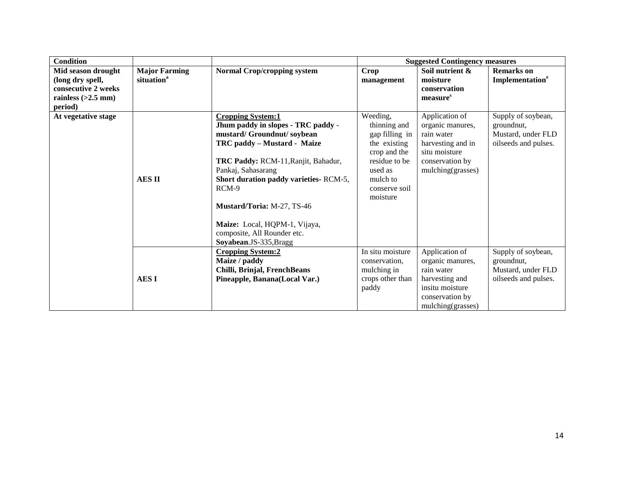| <b>Condition</b>                                                                                 |                                                |                                                                                                                                                                                                                                                                                                                                                                   |                                                                                                                                                 | <b>Suggested Contingency measures</b>                                                                                          |                                                                                |
|--------------------------------------------------------------------------------------------------|------------------------------------------------|-------------------------------------------------------------------------------------------------------------------------------------------------------------------------------------------------------------------------------------------------------------------------------------------------------------------------------------------------------------------|-------------------------------------------------------------------------------------------------------------------------------------------------|--------------------------------------------------------------------------------------------------------------------------------|--------------------------------------------------------------------------------|
| Mid season drought<br>(long dry spell,<br>consecutive 2 weeks<br>rainless $(>2.5$ mm)<br>period) | <b>Major Farming</b><br>situation <sup>a</sup> | <b>Normal Crop/cropping system</b>                                                                                                                                                                                                                                                                                                                                | Crop<br>management                                                                                                                              | Soil nutrient &<br>moisture<br>conservation<br>measure <sup>s</sup>                                                            | <b>Remarks</b> on<br>Implementation <sup>e</sup>                               |
| At vegetative stage                                                                              | <b>AESII</b>                                   | <b>Cropping System:1</b><br>Jhum paddy in slopes - TRC paddy -<br>mustard/Groundnut/soybean<br>TRC paddy – Mustard - Maize<br>TRC Paddy: RCM-11, Ranjit, Bahadur,<br>Pankaj, Sahasarang<br>Short duration paddy varieties-RCM-5,<br>RCM-9<br>Mustard/Toria: M-27, TS-46<br>Maize: Local, HQPM-1, Vijaya,<br>composite, All Rounder etc.<br>Soyabean.JS-335, Bragg | Weeding,<br>thinning and<br>gap filling in<br>the existing<br>crop and the<br>residue to be<br>used as<br>mulch to<br>conserve soil<br>moisture | Application of<br>organic manures,<br>rain water<br>harvesting and in<br>situ moisture<br>conservation by<br>mulching(grasses) | Supply of soybean,<br>groundnut,<br>Mustard, under FLD<br>oilseeds and pulses. |
|                                                                                                  | <b>AESI</b>                                    | <b>Cropping System:2</b><br>Maize / paddy<br>Chilli, Brinjal, FrenchBeans<br>Pineapple, Banana(Local Var.)                                                                                                                                                                                                                                                        | In situ moisture<br>conservation,<br>mulching in<br>crops other than<br>paddy                                                                   | Application of<br>organic manures,<br>rain water<br>harvesting and<br>insitu moisture<br>conservation by<br>mulching(grasses)  | Supply of soybean,<br>groundnut,<br>Mustard, under FLD<br>oilseeds and pulses. |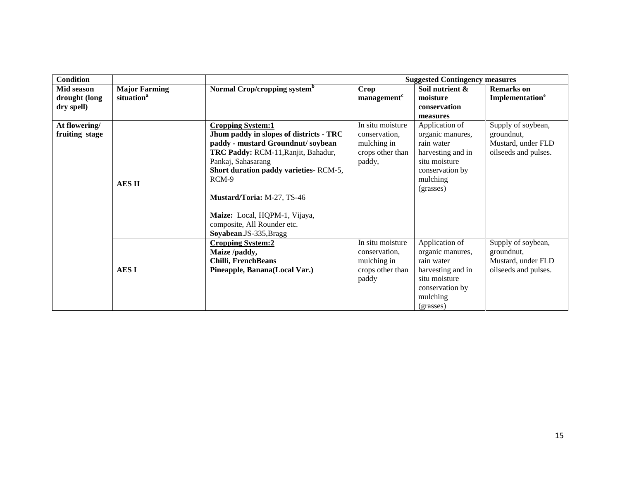| <b>Condition</b> |                        |                                          |                         | <b>Suggested Contingency measures</b> |                             |
|------------------|------------------------|------------------------------------------|-------------------------|---------------------------------------|-----------------------------|
| Mid season       | <b>Major Farming</b>   | Normal Crop/cropping system <sup>b</sup> | Crop                    | Soil nutrient &                       | <b>Remarks</b> on           |
| drought (long    | situation <sup>a</sup> |                                          | management <sup>c</sup> | moisture                              | Implementation <sup>e</sup> |
| dry spell)       |                        |                                          |                         | conservation                          |                             |
|                  |                        |                                          |                         | measures                              |                             |
| At flowering/    |                        | <b>Cropping System:1</b>                 | In situ moisture        | Application of                        | Supply of soybean,          |
| fruiting stage   |                        | Jhum paddy in slopes of districts - TRC  | conservation.           | organic manures,                      | groundnut,                  |
|                  |                        | paddy - mustard Groundnut/soybean        | mulching in             | rain water                            | Mustard, under FLD          |
|                  |                        | TRC Paddy: RCM-11, Ranjit, Bahadur,      | crops other than        | harvesting and in                     | oilseeds and pulses.        |
|                  |                        | Pankaj, Sahasarang                       | paddy,                  | situ moisture                         |                             |
|                  |                        | Short duration paddy varieties-RCM-5,    |                         | conservation by                       |                             |
|                  | <b>AESII</b>           | RCM-9                                    |                         | mulching                              |                             |
|                  |                        |                                          |                         | (grasses)                             |                             |
|                  |                        | Mustard/Toria: M-27, TS-46               |                         |                                       |                             |
|                  |                        |                                          |                         |                                       |                             |
|                  |                        | Maize: Local, HQPM-1, Vijaya,            |                         |                                       |                             |
|                  |                        | composite, All Rounder etc.              |                         |                                       |                             |
|                  |                        | Soyabean.JS-335, Bragg                   |                         |                                       |                             |
|                  |                        | <b>Cropping System:2</b>                 | In situ moisture        | Application of                        | Supply of soybean,          |
|                  |                        | Maize /paddy,                            | conservation.           | organic manures,                      | ground nut,                 |
|                  |                        | <b>Chilli, FrenchBeans</b>               | mulching in             | rain water                            | Mustard, under FLD          |
|                  | <b>AESI</b>            | Pineapple, Banana(Local Var.)            | crops other than        | harvesting and in                     | oilseeds and pulses.        |
|                  |                        |                                          | paddy                   | situ moisture                         |                             |
|                  |                        |                                          |                         | conservation by                       |                             |
|                  |                        |                                          |                         | mulching                              |                             |
|                  |                        |                                          |                         | (grasses)                             |                             |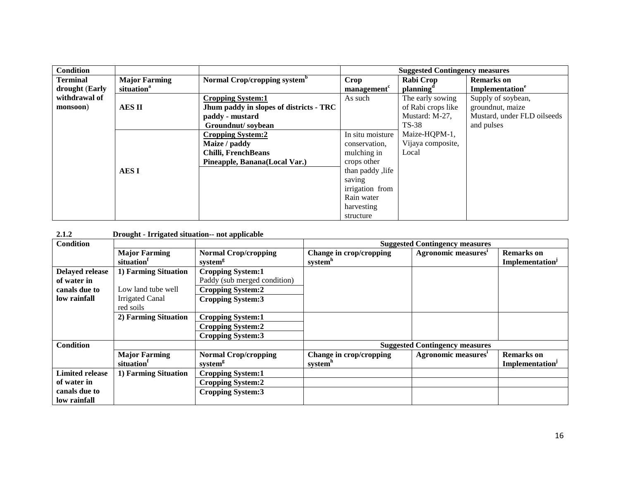| <b>Condition</b> |                        |                                          |                         | <b>Suggested Contingency measures</b> |                             |
|------------------|------------------------|------------------------------------------|-------------------------|---------------------------------------|-----------------------------|
| <b>Terminal</b>  | <b>Major Farming</b>   | Normal Crop/cropping system <sup>b</sup> | Crop                    | Rabi Crop                             | <b>Remarks</b> on           |
| drought (Early   | situation <sup>a</sup> |                                          | management <sup>c</sup> | planning <sup>a</sup>                 | Implementation <sup>e</sup> |
| withdrawal of    |                        | <b>Cropping System:1</b>                 | As such                 | The early sowing                      | Supply of soybean,          |
| monsoon)         | <b>AES II</b>          | Jhum paddy in slopes of districts - TRC  |                         | of Rabi crops like                    | groundnut, maize            |
|                  |                        | paddy - mustard                          |                         | Mustard: M-27,                        | Mustard, under FLD oilseeds |
|                  |                        | Groundnut/soybean                        |                         | <b>TS-38</b>                          | and pulses                  |
|                  |                        | <b>Cropping System:2</b>                 | In situ moisture        | Maize-HQPM-1,                         |                             |
|                  |                        | Maize / paddy                            | conservation,           | Vijaya composite,                     |                             |
|                  |                        | Chilli, FrenchBeans                      | mulching in             | Local                                 |                             |
|                  |                        | Pineapple, Banana (Local Var.)           | crops other             |                                       |                             |
|                  | <b>AESI</b>            |                                          | than paddy , life       |                                       |                             |
|                  |                        |                                          | saving                  |                                       |                             |
|                  |                        |                                          | irrigation from         |                                       |                             |
|                  |                        |                                          | Rain water              |                                       |                             |
|                  |                        |                                          | harvesting              |                                       |                             |
|                  |                        |                                          | structure               |                                       |                             |

#### **2.1.2 Drought - Irrigated situation-- not applicable**

| <b>Condition</b>       |                        |                              |                         | <b>Suggested Contingency measures</b> |                             |
|------------------------|------------------------|------------------------------|-------------------------|---------------------------------------|-----------------------------|
|                        | <b>Major Farming</b>   | <b>Normal Crop/cropping</b>  | Change in crop/cropping | Agronomic measures <sup>1</sup>       | <b>Remarks</b> on           |
|                        | situation <sup>1</sup> | system <sup>g</sup>          | system <sup>h</sup>     |                                       | Implementation <sup>J</sup> |
| <b>Delayed release</b> | 1) Farming Situation   | <b>Cropping System:1</b>     |                         |                                       |                             |
| of water in            |                        | Paddy (sub merged condition) |                         |                                       |                             |
| canals due to          | Low land tube well     | <b>Cropping System:2</b>     |                         |                                       |                             |
| low rainfall           | <b>Irrigated Canal</b> | <b>Cropping System:3</b>     |                         |                                       |                             |
|                        | red soils              |                              |                         |                                       |                             |
|                        | 2) Farming Situation   | <b>Cropping System:1</b>     |                         |                                       |                             |
|                        |                        | <b>Cropping System:2</b>     |                         |                                       |                             |
|                        |                        | <b>Cropping System:3</b>     |                         |                                       |                             |
| <b>Condition</b>       |                        |                              |                         | <b>Suggested Contingency measures</b> |                             |
|                        | <b>Major Farming</b>   | <b>Normal Crop/cropping</b>  | Change in crop/cropping | Agronomic measures <sup>1</sup>       | <b>Remarks</b> on           |
|                        | situation <sup>1</sup> | system <sup>g</sup>          | system"                 |                                       | Implementation <sup>J</sup> |
| <b>Limited release</b> | 1) Farming Situation   | <b>Cropping System:1</b>     |                         |                                       |                             |
| of water in            |                        | <b>Cropping System:2</b>     |                         |                                       |                             |
| canals due to          |                        | <b>Cropping System:3</b>     |                         |                                       |                             |
| low rainfall           |                        |                              |                         |                                       |                             |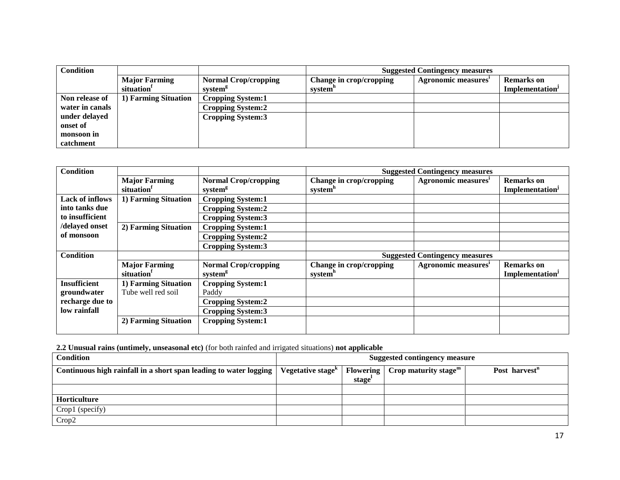| <b>Condition</b> |                                                |                                                    | <b>Suggested Contingency measures</b>          |                     |                                                  |  |
|------------------|------------------------------------------------|----------------------------------------------------|------------------------------------------------|---------------------|--------------------------------------------------|--|
|                  | <b>Major Farming</b><br>situation <sup>1</sup> | <b>Normal Crop/cropping</b><br>system <sup>g</sup> | Change in crop/cropping<br>system <sup>"</sup> | Agronomic measures' | <b>Remarks</b> on<br>Implementation <sup>J</sup> |  |
|                  |                                                |                                                    |                                                |                     |                                                  |  |
| Non release of   | 1) Farming Situation                           | <b>Cropping System:1</b>                           |                                                |                     |                                                  |  |
| water in canals  |                                                | Cropping System:2                                  |                                                |                     |                                                  |  |
| under delayed    |                                                | <b>Cropping System:3</b>                           |                                                |                     |                                                  |  |
| onset of         |                                                |                                                    |                                                |                     |                                                  |  |
| monsoon in       |                                                |                                                    |                                                |                     |                                                  |  |
| catchment        |                                                |                                                    |                                                |                     |                                                  |  |

| <b>Condition</b>       |                      |                             | <b>Suggested Contingency measures</b> |                                       |                             |  |
|------------------------|----------------------|-----------------------------|---------------------------------------|---------------------------------------|-----------------------------|--|
|                        | <b>Major Farming</b> | <b>Normal Crop/cropping</b> | Change in crop/cropping               | Agronomic measures <sup>1</sup>       | <b>Remarks</b> on           |  |
|                        | situation            | system <sup>g</sup>         | system <sup>h</sup>                   |                                       | Implementation <sup>J</sup> |  |
| <b>Lack of inflows</b> | 1) Farming Situation | <b>Cropping System:1</b>    |                                       |                                       |                             |  |
| into tanks due         |                      | <b>Cropping System:2</b>    |                                       |                                       |                             |  |
| to insufficient        |                      | <b>Cropping System:3</b>    |                                       |                                       |                             |  |
| /delayed onset         | 2) Farming Situation | <b>Cropping System:1</b>    |                                       |                                       |                             |  |
| of monsoon             |                      | <b>Cropping System:2</b>    |                                       |                                       |                             |  |
|                        |                      | <b>Cropping System:3</b>    |                                       |                                       |                             |  |
| <b>Condition</b>       |                      |                             |                                       | <b>Suggested Contingency measures</b> |                             |  |
|                        | <b>Major Farming</b> | <b>Normal Crop/cropping</b> | Change in crop/cropping               | Agronomic measures <sup>i</sup>       | <b>Remarks</b> on           |  |
|                        | situation            | system <sup>g</sup>         | system <sup>h</sup>                   |                                       | Implementation <sup>J</sup> |  |
| <b>Insufficient</b>    | 1) Farming Situation | <b>Cropping System:1</b>    |                                       |                                       |                             |  |
| groundwater            | Tube well red soil   | Paddy                       |                                       |                                       |                             |  |
| recharge due to        |                      | <b>Cropping System:2</b>    |                                       |                                       |                             |  |
| low rainfall           |                      | <b>Cropping System:3</b>    |                                       |                                       |                             |  |
|                        | 2) Farming Situation | <b>Cropping System:1</b>    |                                       |                                       |                             |  |
|                        |                      |                             |                                       |                                       |                             |  |

**2.2 Unusual rains (untimely, unseasonal etc)** (for both rainfed and irrigated situations) **not applicable**

| Condition                                                         | <b>Suggested contingency measure</b>       |                    |                                                   |                           |
|-------------------------------------------------------------------|--------------------------------------------|--------------------|---------------------------------------------------|---------------------------|
| Continuous high rainfall in a short span leading to water logging | Vegetative stage <sup><math>k</math></sup> |                    | Flowering $\int$ Crop maturity stage <sup>m</sup> | Post harvest <sup>n</sup> |
|                                                                   |                                            | stage <sup>1</sup> |                                                   |                           |
|                                                                   |                                            |                    |                                                   |                           |
| Horticulture                                                      |                                            |                    |                                                   |                           |
| Crop1 (specify)                                                   |                                            |                    |                                                   |                           |
| Crop2                                                             |                                            |                    |                                                   |                           |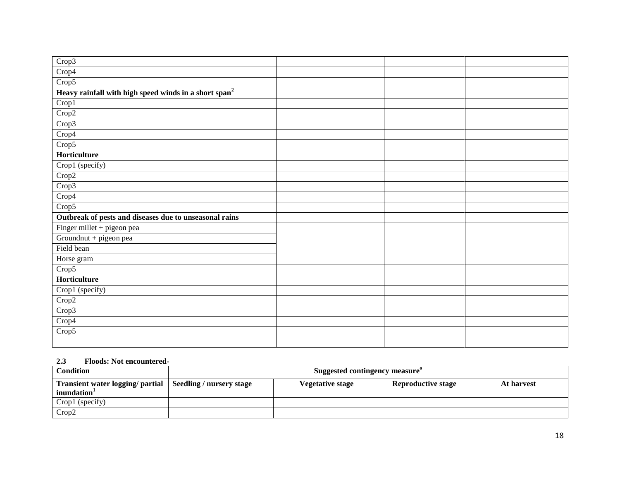| Crop3                                                             |  |  |
|-------------------------------------------------------------------|--|--|
| Crop4                                                             |  |  |
| Crop5                                                             |  |  |
| Heavy rainfall with high speed winds in a short span <sup>2</sup> |  |  |
| Crop1                                                             |  |  |
| Crop2                                                             |  |  |
| Crop3                                                             |  |  |
| Crop4                                                             |  |  |
| Crop5                                                             |  |  |
| Horticulture                                                      |  |  |
| Crop1 (specify)                                                   |  |  |
| Crop2                                                             |  |  |
| Crop3                                                             |  |  |
| Crop4                                                             |  |  |
| Crop5                                                             |  |  |
| Outbreak of pests and diseases due to unseasonal rains            |  |  |
| Finger millet + pigeon pea                                        |  |  |
| Groundnut + pigeon pea                                            |  |  |
| Field bean                                                        |  |  |
| Horse gram                                                        |  |  |
| Crop5                                                             |  |  |
| Horticulture                                                      |  |  |
| Crop1 (specify)                                                   |  |  |
| Crop2                                                             |  |  |
| Crop3                                                             |  |  |
| Crop4                                                             |  |  |
| Crop5                                                             |  |  |
|                                                                   |  |  |

#### **2.3 Floods: Not encountered-**

| <b>Condition</b>                                                                       | Suggested contingency measure <sup>o</sup> |                           |            |
|----------------------------------------------------------------------------------------|--------------------------------------------|---------------------------|------------|
| Transient water logging/ partial   Seedling / nursery stage<br>inundation <sup>1</sup> | <b>Vegetative stage</b>                    | <b>Reproductive stage</b> | At harvest |
| Crop1 (specify)                                                                        |                                            |                           |            |
| Crop2                                                                                  |                                            |                           |            |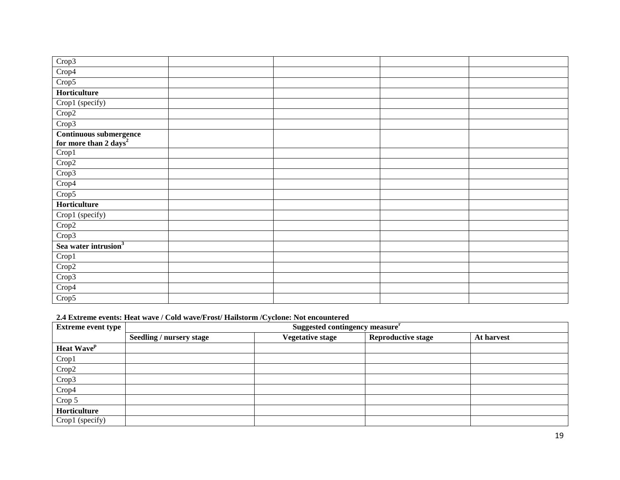| Crop3                                                       |  |  |
|-------------------------------------------------------------|--|--|
| Crop4                                                       |  |  |
| Crop5                                                       |  |  |
| Horticulture                                                |  |  |
| Crop1 (specify)                                             |  |  |
| Crop2                                                       |  |  |
| Crop3                                                       |  |  |
| Continuous submergence<br>for more than 2 days <sup>2</sup> |  |  |
|                                                             |  |  |
| $\overline{\text{Crop}}$ 1                                  |  |  |
| Crop2                                                       |  |  |
| Crop3                                                       |  |  |
| Crop4                                                       |  |  |
| Crop5                                                       |  |  |
| Horticulture                                                |  |  |
| Crop1 (specify)                                             |  |  |
| Crop2                                                       |  |  |
| Crop3                                                       |  |  |
| Sea water intrusion <sup>3</sup>                            |  |  |
| Crop1                                                       |  |  |
| Crop2                                                       |  |  |
| Crop3                                                       |  |  |
| Crop4                                                       |  |  |
| Crop5                                                       |  |  |
|                                                             |  |  |

## **2.4 Extreme events: Heat wave / Cold wave/Frost/ Hailstorm /Cyclone: Not encountered**

| <b>Extreme event type</b>     | Suggested contingency measure <sup>r</sup> |                         |                           |            |  |  |
|-------------------------------|--------------------------------------------|-------------------------|---------------------------|------------|--|--|
|                               | Seedling / nursery stage                   | <b>Vegetative stage</b> | <b>Reproductive stage</b> | At harvest |  |  |
| <b>Heat Wave</b> <sup>p</sup> |                                            |                         |                           |            |  |  |
| Crop1                         |                                            |                         |                           |            |  |  |
| Crop2                         |                                            |                         |                           |            |  |  |
| Crop3                         |                                            |                         |                           |            |  |  |
| Crop4                         |                                            |                         |                           |            |  |  |
| Crop 5                        |                                            |                         |                           |            |  |  |
| Horticulture                  |                                            |                         |                           |            |  |  |
| Crop1 (specify)               |                                            |                         |                           |            |  |  |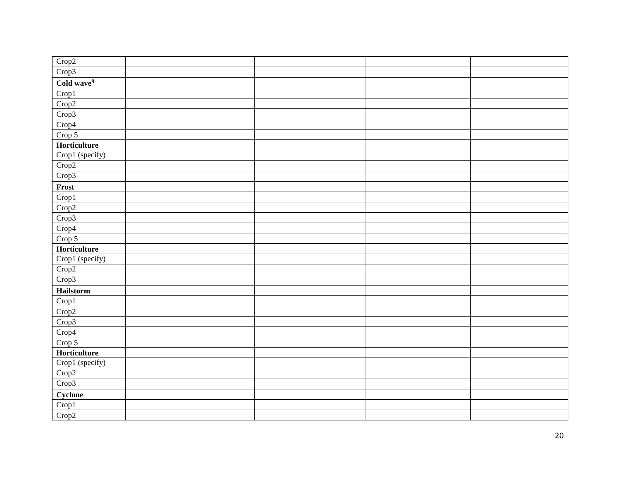| Crop2                            |  |  |
|----------------------------------|--|--|
| Crop3                            |  |  |
| $\overline{\text{ Cold wave}^q}$ |  |  |
| Crop1                            |  |  |
| Crop2                            |  |  |
| Crop3                            |  |  |
| Crop4                            |  |  |
| Crop 5                           |  |  |
| Horticulture                     |  |  |
| Crop1 (specify)                  |  |  |
| Crop2                            |  |  |
| Crop3                            |  |  |
| Frost                            |  |  |
| Crop1                            |  |  |
| Crop2                            |  |  |
| Crop3                            |  |  |
| Crop4                            |  |  |
| Crop 5                           |  |  |
| Horticulture                     |  |  |
| Crop1 (specify)                  |  |  |
| Crop2                            |  |  |
| Crop3                            |  |  |
| Hailstorm                        |  |  |
| Crop1                            |  |  |
| Crop2                            |  |  |
| Crop3                            |  |  |
| Crop <sup>4</sup>                |  |  |
| Crop 5                           |  |  |
| Horticulture                     |  |  |
| Crop1 (specify)                  |  |  |
| Crop2                            |  |  |
| Crop3                            |  |  |
| Cyclone                          |  |  |
| Crop1                            |  |  |
| Crop2                            |  |  |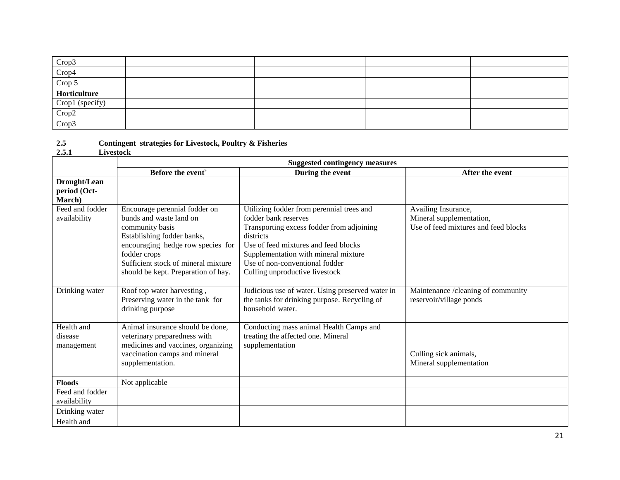| Crop3           |  |  |
|-----------------|--|--|
| Crop4           |  |  |
| Crop 5          |  |  |
| Horticulture    |  |  |
| Crop1 (specify) |  |  |
| Crop2           |  |  |
| Crop3           |  |  |

**2.5 Contingent strategies for Livestock, Poultry & Fisheries**

#### **2.5.1 Livestock**

|                                        | <b>Suggested contingency measures</b>                                                                                                                                                                                                        |                                                                                                                                                                                                                                                                                 |                                                                                         |  |  |
|----------------------------------------|----------------------------------------------------------------------------------------------------------------------------------------------------------------------------------------------------------------------------------------------|---------------------------------------------------------------------------------------------------------------------------------------------------------------------------------------------------------------------------------------------------------------------------------|-----------------------------------------------------------------------------------------|--|--|
|                                        | Before the event <sup>s</sup>                                                                                                                                                                                                                | During the event                                                                                                                                                                                                                                                                | After the event                                                                         |  |  |
| Drought/Lean<br>period (Oct-<br>March) |                                                                                                                                                                                                                                              |                                                                                                                                                                                                                                                                                 |                                                                                         |  |  |
| Feed and fodder<br>availability        | Encourage perennial fodder on<br>bunds and waste land on<br>community basis<br>Establishing fodder banks,<br>encouraging hedge row species for<br>fodder crops<br>Sufficient stock of mineral mixture<br>should be kept. Preparation of hay. | Utilizing fodder from perennial trees and<br>fodder bank reserves<br>Transporting excess fodder from adjoining<br>districts<br>Use of feed mixtures and feed blocks<br>Supplementation with mineral mixture<br>Use of non-conventional fodder<br>Culling unproductive livestock | Availing Insurance,<br>Mineral supplementation,<br>Use of feed mixtures and feed blocks |  |  |
| Drinking water                         | Roof top water harvesting,<br>Preserving water in the tank for<br>drinking purpose                                                                                                                                                           | Judicious use of water. Using preserved water in<br>the tanks for drinking purpose. Recycling of<br>household water.                                                                                                                                                            | Maintenance /cleaning of community<br>reservoir/village ponds                           |  |  |
| Health and<br>disease<br>management    | Animal insurance should be done,<br>veterinary preparedness with<br>medicines and vaccines, organizing<br>vaccination camps and mineral<br>supplementation.                                                                                  | Conducting mass animal Health Camps and<br>treating the affected one. Mineral<br>supplementation                                                                                                                                                                                | Culling sick animals,<br>Mineral supplementation                                        |  |  |
| <b>Floods</b>                          | Not applicable                                                                                                                                                                                                                               |                                                                                                                                                                                                                                                                                 |                                                                                         |  |  |
| Feed and fodder<br>availability        |                                                                                                                                                                                                                                              |                                                                                                                                                                                                                                                                                 |                                                                                         |  |  |
| Drinking water                         |                                                                                                                                                                                                                                              |                                                                                                                                                                                                                                                                                 |                                                                                         |  |  |
| Health and                             |                                                                                                                                                                                                                                              |                                                                                                                                                                                                                                                                                 |                                                                                         |  |  |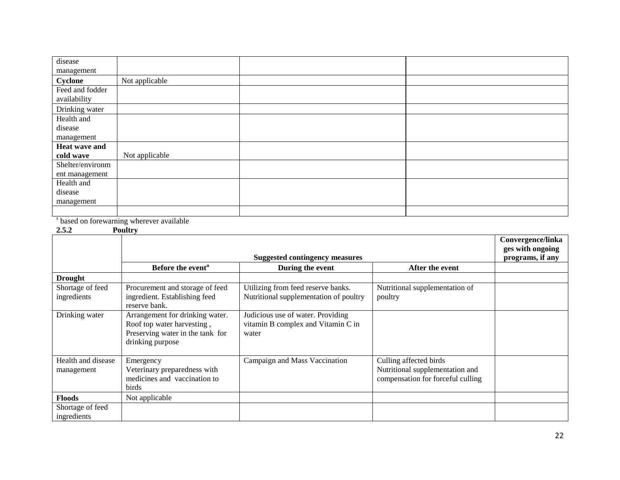| disease          |                |  |
|------------------|----------------|--|
| management       |                |  |
| Cyclone          | Not applicable |  |
| Feed and fodder  |                |  |
| availability     |                |  |
| Drinking water   |                |  |
| Health and       |                |  |
| disease          |                |  |
| management       |                |  |
| Heat wave and    |                |  |
| cold wave        | Not applicable |  |
| Shelter/environm |                |  |
| ent management   |                |  |
| Health and       |                |  |
| disease          |                |  |
| management       |                |  |
|                  |                |  |

<sup>s</sup> based on forewarning wherever available

**2.5.2 Poultry** 

|                                  | .                                                                                                                     | <b>Suggested contingency measures</b>                                            |                                                                                                | Convergence/linka<br>ges with ongoing |
|----------------------------------|-----------------------------------------------------------------------------------------------------------------------|----------------------------------------------------------------------------------|------------------------------------------------------------------------------------------------|---------------------------------------|
|                                  |                                                                                                                       |                                                                                  | programs, if any                                                                               |                                       |
|                                  | Before the event <sup>a</sup>                                                                                         | During the event                                                                 | After the event                                                                                |                                       |
| <b>Drought</b>                   |                                                                                                                       |                                                                                  |                                                                                                |                                       |
| Shortage of feed<br>ingredients  | Procurement and storage of feed<br>ingredient. Establishing feed<br>reserve bank.                                     | Utilizing from feed reserve banks.<br>Nutritional supplementation of poultry     | Nutritional supplementation of<br>poultry                                                      |                                       |
| Drinking water                   | Arrangement for drinking water.<br>Roof top water harvesting,<br>Preserving water in the tank for<br>drinking purpose | Judicious use of water. Providing<br>vitamin B complex and Vitamin C in<br>water |                                                                                                |                                       |
| Health and disease<br>management | Emergency<br>Veterinary preparedness with<br>medicines and vaccination to<br>birds                                    | Campaign and Mass Vaccination                                                    | Culling affected birds<br>Nutritional supplementation and<br>compensation for forceful culling |                                       |
| <b>Floods</b>                    | Not applicable                                                                                                        |                                                                                  |                                                                                                |                                       |
| Shortage of feed<br>ingredients  |                                                                                                                       |                                                                                  |                                                                                                |                                       |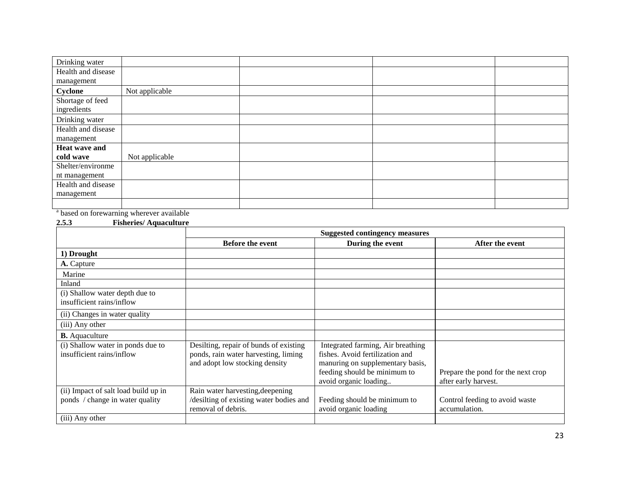| Drinking water     |                |  |  |
|--------------------|----------------|--|--|
| Health and disease |                |  |  |
| management         |                |  |  |
| Cyclone            | Not applicable |  |  |
| Shortage of feed   |                |  |  |
| ingredients        |                |  |  |
| Drinking water     |                |  |  |
| Health and disease |                |  |  |
| management         |                |  |  |
| Heat wave and      |                |  |  |
| cold wave          | Not applicable |  |  |
| Shelter/environme  |                |  |  |
| nt management      |                |  |  |
| Health and disease |                |  |  |
| management         |                |  |  |
|                    |                |  |  |
|                    |                |  |  |

<sup>a</sup> based on forewarning wherever available

#### **2.5.3 Fisheries/ Aquaculture**

|                                                                | <b>Suggested contingency measures</b>                                                                            |                                                                                                                                                                   |                                                            |
|----------------------------------------------------------------|------------------------------------------------------------------------------------------------------------------|-------------------------------------------------------------------------------------------------------------------------------------------------------------------|------------------------------------------------------------|
|                                                                | <b>Before the event</b>                                                                                          | During the event                                                                                                                                                  | After the event                                            |
| 1) Drought                                                     |                                                                                                                  |                                                                                                                                                                   |                                                            |
| A. Capture                                                     |                                                                                                                  |                                                                                                                                                                   |                                                            |
| Marine                                                         |                                                                                                                  |                                                                                                                                                                   |                                                            |
| Inland                                                         |                                                                                                                  |                                                                                                                                                                   |                                                            |
| (i) Shallow water depth due to<br>insufficient rains/inflow    |                                                                                                                  |                                                                                                                                                                   |                                                            |
| (ii) Changes in water quality                                  |                                                                                                                  |                                                                                                                                                                   |                                                            |
| (iii) Any other                                                |                                                                                                                  |                                                                                                                                                                   |                                                            |
| <b>B.</b> Aquaculture                                          |                                                                                                                  |                                                                                                                                                                   |                                                            |
| (i) Shallow water in ponds due to<br>insufficient rains/inflow | Desilting, repair of bunds of existing<br>ponds, rain water harvesting, liming<br>and adopt low stocking density | Integrated farming, Air breathing<br>fishes. Avoid fertilization and<br>manuring on supplementary basis,<br>feeding should be minimum to<br>avoid organic loading | Prepare the pond for the next crop<br>after early harvest. |
| (ii) Impact of salt load build up in                           | Rain water harvesting, deepening                                                                                 |                                                                                                                                                                   |                                                            |
| ponds / change in water quality                                | /desilting of existing water bodies and<br>removal of debris.                                                    | Feeding should be minimum to<br>avoid organic loading                                                                                                             | Control feeding to avoid waste<br>accumulation.            |
| (iii) Any other                                                |                                                                                                                  |                                                                                                                                                                   |                                                            |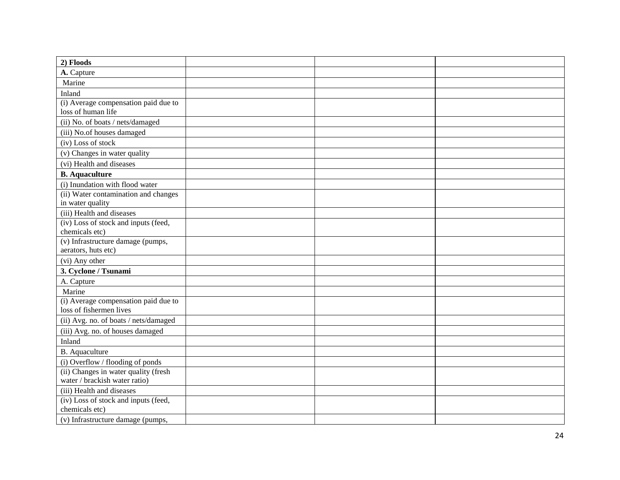| 2) Floods                                                       |  |  |
|-----------------------------------------------------------------|--|--|
| A. Capture                                                      |  |  |
| Marine                                                          |  |  |
| Inland                                                          |  |  |
| (i) Average compensation paid due to<br>loss of human life      |  |  |
| (ii) No. of boats / nets/damaged                                |  |  |
| (iii) No.of houses damaged                                      |  |  |
| (iv) Loss of stock                                              |  |  |
| (v) Changes in water quality                                    |  |  |
| (vi) Health and diseases                                        |  |  |
| <b>B.</b> Aquaculture                                           |  |  |
| (i) Inundation with flood water                                 |  |  |
| (ii) Water contamination and changes<br>in water quality        |  |  |
| (iii) Health and diseases                                       |  |  |
| (iv) Loss of stock and inputs (feed,<br>chemicals etc)          |  |  |
| (v) Infrastructure damage (pumps,<br>aerators, huts etc)        |  |  |
| (vi) Any other                                                  |  |  |
| 3. Cyclone / Tsunami                                            |  |  |
| A. Capture                                                      |  |  |
| Marine                                                          |  |  |
| (i) Average compensation paid due to<br>loss of fishermen lives |  |  |
| (ii) Avg. no. of boats / nets/damaged                           |  |  |
| (iii) Avg. no. of houses damaged                                |  |  |
| Inland                                                          |  |  |
| <b>B.</b> Aquaculture                                           |  |  |
| (i) Overflow / flooding of ponds                                |  |  |
| (ii) Changes in water quality (fresh                            |  |  |
| water / brackish water ratio)                                   |  |  |
| (iii) Health and diseases                                       |  |  |
| (iv) Loss of stock and inputs (feed,                            |  |  |
| chemicals etc)                                                  |  |  |
| (v) Infrastructure damage (pumps,                               |  |  |